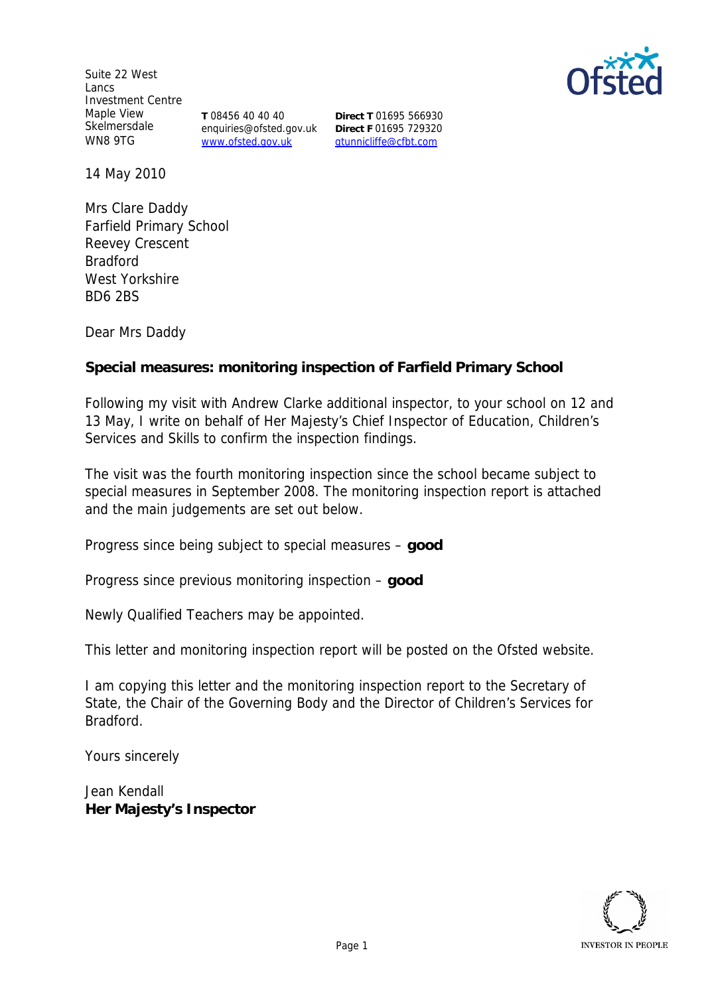Suite 22 West Lancs Investment Centre Maple View Skelmersdale WN8 9TG

**T** 08456 40 40 40 enquiries@ofsted.gov.uk www.ofsted.gov.uk

**Direct T** 01695 566930 **Direct F** 01695 729320 gtunnicliffe@cfbt.com

14 May 2010

Mrs Clare Daddy Farfield Primary School Reevey Crescent Bradford West Yorkshire BD6 2BS

Dear Mrs Daddy

**Special measures: monitoring inspection of Farfield Primary School**

Following my visit with Andrew Clarke additional inspector, to your school on 12 and 13 May, I write on behalf of Her Majesty's Chief Inspector of Education, Children's Services and Skills to confirm the inspection findings.

The visit was the fourth monitoring inspection since the school became subject to special measures in September 2008. The monitoring inspection report is attached and the main judgements are set out below.

Progress since being subject to special measures – **good**

Progress since previous monitoring inspection – **good**

Newly Qualified Teachers may be appointed.

This letter and monitoring inspection report will be posted on the Ofsted website.

I am copying this letter and the monitoring inspection report to the Secretary of State, the Chair of the Governing Body and the Director of Children's Services for Bradford.

Yours sincerely

Jean Kendall **Her Majesty's Inspector**

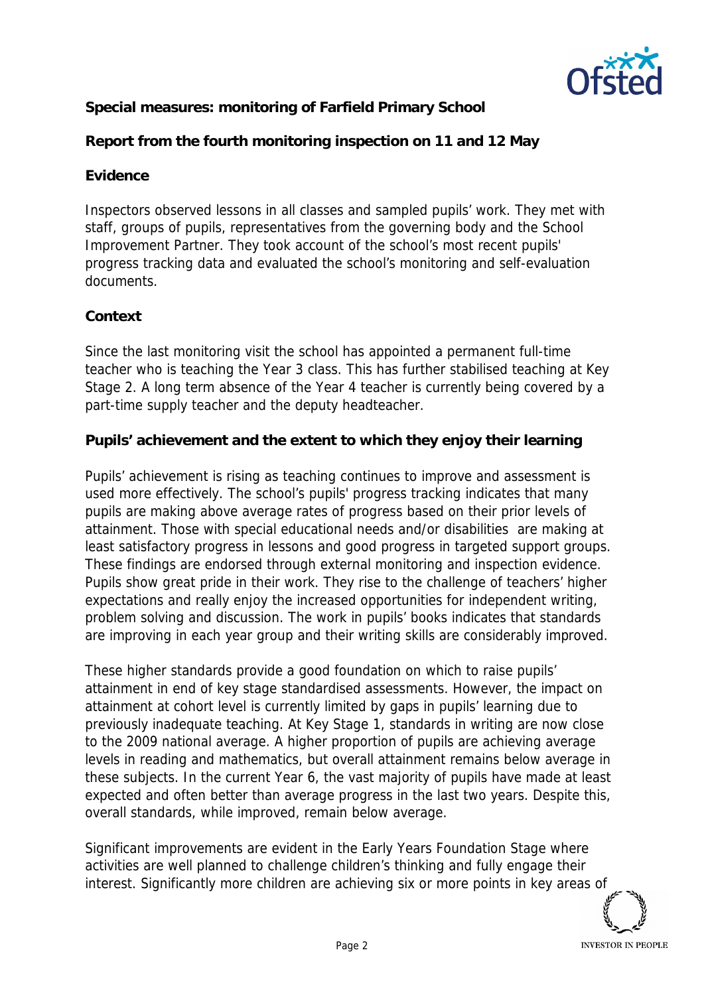

**Special measures: monitoring of Farfield Primary School**

**Report from the fourth monitoring inspection on 11 and 12 May**

## **Evidence**

Inspectors observed lessons in all classes and sampled pupils' work. They met with staff, groups of pupils, representatives from the governing body and the School Improvement Partner. They took account of the school's most recent pupils' progress tracking data and evaluated the school's monitoring and self-evaluation documents.

## **Context**

Since the last monitoring visit the school has appointed a permanent full-time teacher who is teaching the Year 3 class. This has further stabilised teaching at Key Stage 2. A long term absence of the Year 4 teacher is currently being covered by a part-time supply teacher and the deputy headteacher.

**Pupils' achievement and the extent to which they enjoy their learning**

Pupils' achievement is rising as teaching continues to improve and assessment is used more effectively. The school's pupils' progress tracking indicates that many pupils are making above average rates of progress based on their prior levels of attainment. Those with special educational needs and/or disabilities are making at least satisfactory progress in lessons and good progress in targeted support groups. These findings are endorsed through external monitoring and inspection evidence. Pupils show great pride in their work. They rise to the challenge of teachers' higher expectations and really enjoy the increased opportunities for independent writing, problem solving and discussion. The work in pupils' books indicates that standards are improving in each year group and their writing skills are considerably improved.

These higher standards provide a good foundation on which to raise pupils' attainment in end of key stage standardised assessments. However, the impact on attainment at cohort level is currently limited by gaps in pupils' learning due to previously inadequate teaching. At Key Stage 1, standards in writing are now close to the 2009 national average. A higher proportion of pupils are achieving average levels in reading and mathematics, but overall attainment remains below average in these subjects. In the current Year 6, the vast majority of pupils have made at least expected and often better than average progress in the last two years. Despite this, overall standards, while improved, remain below average.

Significant improvements are evident in the Early Years Foundation Stage where activities are well planned to challenge children's thinking and fully engage their interest. Significantly more children are achieving six or more points in key areas of

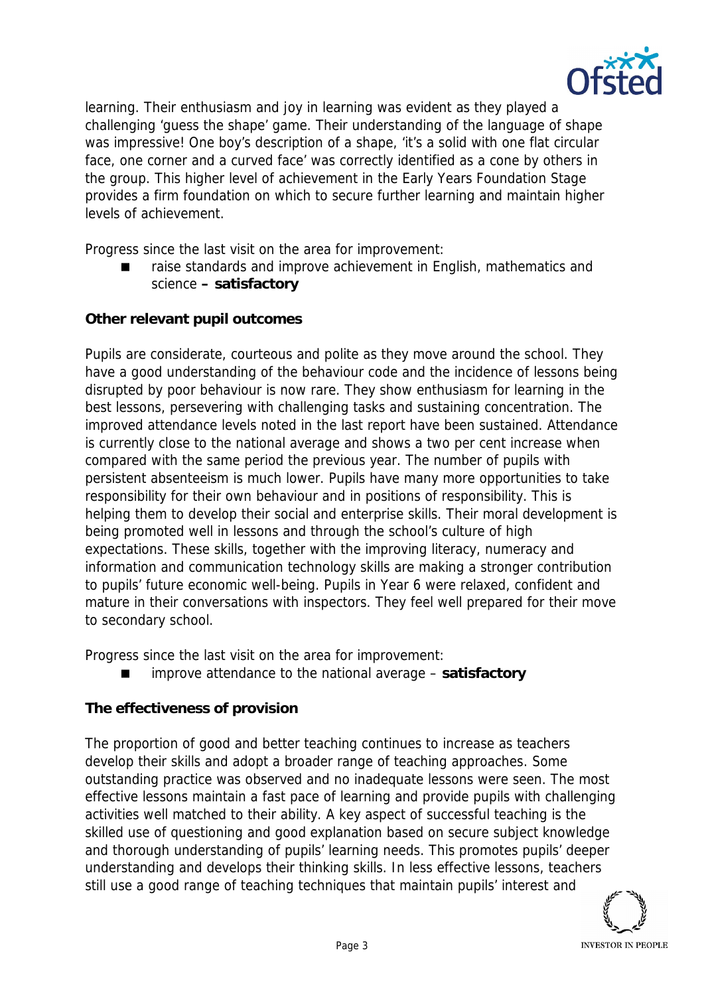

learning. Their enthusiasm and joy in learning was evident as they played a challenging 'guess the shape' game. Their understanding of the language of shape was impressive! One boy's description of a shape, 'it's a solid with one flat circular face, one corner and a curved face' was correctly identified as a cone by others in the group. This higher level of achievement in the Early Years Foundation Stage provides a firm foundation on which to secure further learning and maintain higher levels of achievement.

Progress since the last visit on the area for improvement:

 raise standards and improve achievement in English, mathematics and science **– satisfactory**

**Other relevant pupil outcomes**

Pupils are considerate, courteous and polite as they move around the school. They have a good understanding of the behaviour code and the incidence of lessons being disrupted by poor behaviour is now rare. They show enthusiasm for learning in the best lessons, persevering with challenging tasks and sustaining concentration. The improved attendance levels noted in the last report have been sustained. Attendance is currently close to the national average and shows a two per cent increase when compared with the same period the previous year. The number of pupils with persistent absenteeism is much lower. Pupils have many more opportunities to take responsibility for their own behaviour and in positions of responsibility. This is helping them to develop their social and enterprise skills. Their moral development is being promoted well in lessons and through the school's culture of high expectations. These skills, together with the improving literacy, numeracy and information and communication technology skills are making a stronger contribution to pupils' future economic well-being. Pupils in Year 6 were relaxed, confident and mature in their conversations with inspectors. They feel well prepared for their move to secondary school.

Progress since the last visit on the area for improvement:

improve attendance to the national average – **satisfactory**

## **The effectiveness of provision**

The proportion of good and better teaching continues to increase as teachers develop their skills and adopt a broader range of teaching approaches. Some outstanding practice was observed and no inadequate lessons were seen. The most effective lessons maintain a fast pace of learning and provide pupils with challenging activities well matched to their ability. A key aspect of successful teaching is the skilled use of questioning and good explanation based on secure subject knowledge and thorough understanding of pupils' learning needs. This promotes pupils' deeper understanding and develops their thinking skills. In less effective lessons, teachers still use a good range of teaching techniques that maintain pupils' interest and

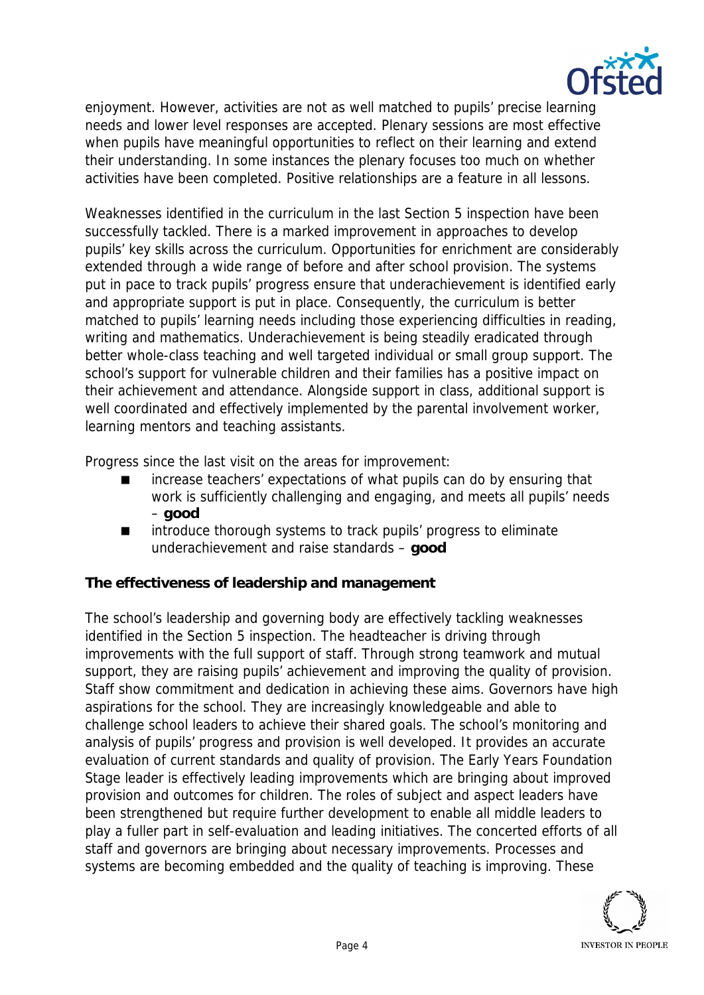

enjoyment. However, activities are not as well matched to pupils' precise learning needs and lower level responses are accepted. Plenary sessions are most effective when pupils have meaningful opportunities to reflect on their learning and extend their understanding. In some instances the plenary focuses too much on whether activities have been completed. Positive relationships are a feature in all lessons.

Weaknesses identified in the curriculum in the last Section 5 inspection have been successfully tackled. There is a marked improvement in approaches to develop pupils' key skills across the curriculum. Opportunities for enrichment are considerably extended through a wide range of before and after school provision. The systems put in pace to track pupils' progress ensure that underachievement is identified early and appropriate support is put in place. Consequently, the curriculum is better matched to pupils' learning needs including those experiencing difficulties in reading, writing and mathematics. Underachievement is being steadily eradicated through better whole-class teaching and well targeted individual or small group support. The school's support for vulnerable children and their families has a positive impact on their achievement and attendance. Alongside support in class, additional support is well coordinated and effectively implemented by the parental involvement worker, learning mentors and teaching assistants.

Progress since the last visit on the areas for improvement:

- increase teachers' expectations of what pupils can do by ensuring that work is sufficiently challenging and engaging, and meets all pupils' needs – **good**
- introduce thorough systems to track pupils' progress to eliminate underachievement and raise standards – **good**

**The effectiveness of leadership and management**

The school's leadership and governing body are effectively tackling weaknesses identified in the Section 5 inspection. The headteacher is driving through improvements with the full support of staff. Through strong teamwork and mutual support, they are raising pupils' achievement and improving the quality of provision. Staff show commitment and dedication in achieving these aims. Governors have high aspirations for the school. They are increasingly knowledgeable and able to challenge school leaders to achieve their shared goals. The school's monitoring and analysis of pupils' progress and provision is well developed. It provides an accurate evaluation of current standards and quality of provision. The Early Years Foundation Stage leader is effectively leading improvements which are bringing about improved provision and outcomes for children. The roles of subject and aspect leaders have been strengthened but require further development to enable all middle leaders to play a fuller part in self-evaluation and leading initiatives. The concerted efforts of all staff and governors are bringing about necessary improvements. Processes and systems are becoming embedded and the quality of teaching is improving. These